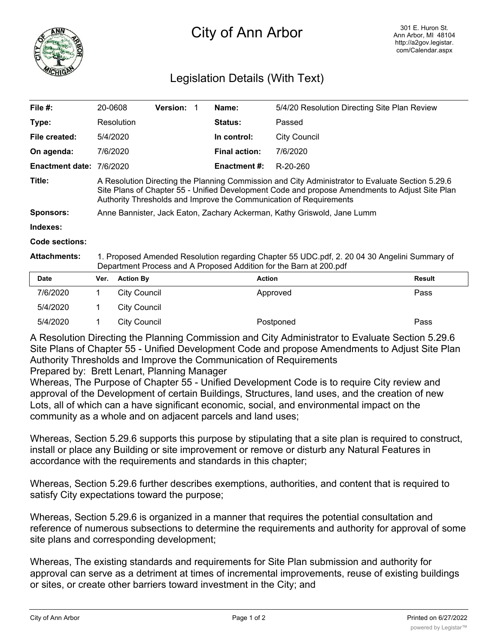

## City of Ann Arbor

٦

## Legislation Details (With Text)

| File $#$ :             | 20-0608                                                                                                                                                                                                                                                                  | <b>Version: 1</b> |  | Name:                | 5/4/20 Resolution Directing Site Plan Review |               |  |
|------------------------|--------------------------------------------------------------------------------------------------------------------------------------------------------------------------------------------------------------------------------------------------------------------------|-------------------|--|----------------------|----------------------------------------------|---------------|--|
| Type:                  | Resolution                                                                                                                                                                                                                                                               |                   |  | <b>Status:</b>       | Passed                                       |               |  |
| File created:          | 5/4/2020                                                                                                                                                                                                                                                                 |                   |  | In control:          | City Council                                 |               |  |
| On agenda:             | 7/6/2020                                                                                                                                                                                                                                                                 |                   |  | <b>Final action:</b> | 7/6/2020                                     |               |  |
| <b>Enactment date:</b> | 7/6/2020                                                                                                                                                                                                                                                                 |                   |  | <b>Enactment #:</b>  | R-20-260                                     |               |  |
| Title:                 | A Resolution Directing the Planning Commission and City Administrator to Evaluate Section 5.29.6<br>Site Plans of Chapter 55 - Unified Development Code and propose Amendments to Adjust Site Plan<br>Authority Thresholds and Improve the Communication of Requirements |                   |  |                      |                                              |               |  |
| <b>Sponsors:</b>       | Anne Bannister, Jack Eaton, Zachary Ackerman, Kathy Griswold, Jane Lumm                                                                                                                                                                                                  |                   |  |                      |                                              |               |  |
| Indexes:               |                                                                                                                                                                                                                                                                          |                   |  |                      |                                              |               |  |
| Code sections:         |                                                                                                                                                                                                                                                                          |                   |  |                      |                                              |               |  |
| <b>Attachments:</b>    | 1. Proposed Amended Resolution regarding Chapter 55 UDC.pdf, 2. 20 04 30 Angelini Summary of<br>Department Process and A Proposed Addition for the Barn at 200.pdf                                                                                                       |                   |  |                      |                                              |               |  |
| <b>Date</b>            | <b>Action By</b><br>Ver.                                                                                                                                                                                                                                                 |                   |  | <b>Action</b>        |                                              | <b>Result</b> |  |
|                        |                                                                                                                                                                                                                                                                          |                   |  |                      |                                              |               |  |

| pato     | $\mathbf{v}$ . Avuvu $\mathbf{v}$ | Avuvu     | 115341L |
|----------|-----------------------------------|-----------|---------|
| 7/6/2020 | City Council                      | Approved  | Pass    |
| 5/4/2020 | City Council                      |           |         |
| 5/4/2020 | City Council                      | Postponed | Pass    |

A Resolution Directing the Planning Commission and City Administrator to Evaluate Section 5.29.6 Site Plans of Chapter 55 - Unified Development Code and propose Amendments to Adjust Site Plan Authority Thresholds and Improve the Communication of Requirements

Prepared by: Brett Lenart, Planning Manager

Whereas, The Purpose of Chapter 55 - Unified Development Code is to require City review and approval of the Development of certain Buildings, Structures, land uses, and the creation of new Lots, all of which can a have significant economic, social, and environmental impact on the community as a whole and on adjacent parcels and land uses;

Whereas, Section 5.29.6 supports this purpose by stipulating that a site plan is required to construct, install or place any Building or site improvement or remove or disturb any Natural Features in accordance with the requirements and standards in this chapter;

Whereas, Section 5.29.6 further describes exemptions, authorities, and content that is required to satisfy City expectations toward the purpose;

Whereas, Section 5.29.6 is organized in a manner that requires the potential consultation and reference of numerous subsections to determine the requirements and authority for approval of some site plans and corresponding development;

Whereas, The existing standards and requirements for Site Plan submission and authority for approval can serve as a detriment at times of incremental improvements, reuse of existing buildings or sites, or create other barriers toward investment in the City; and